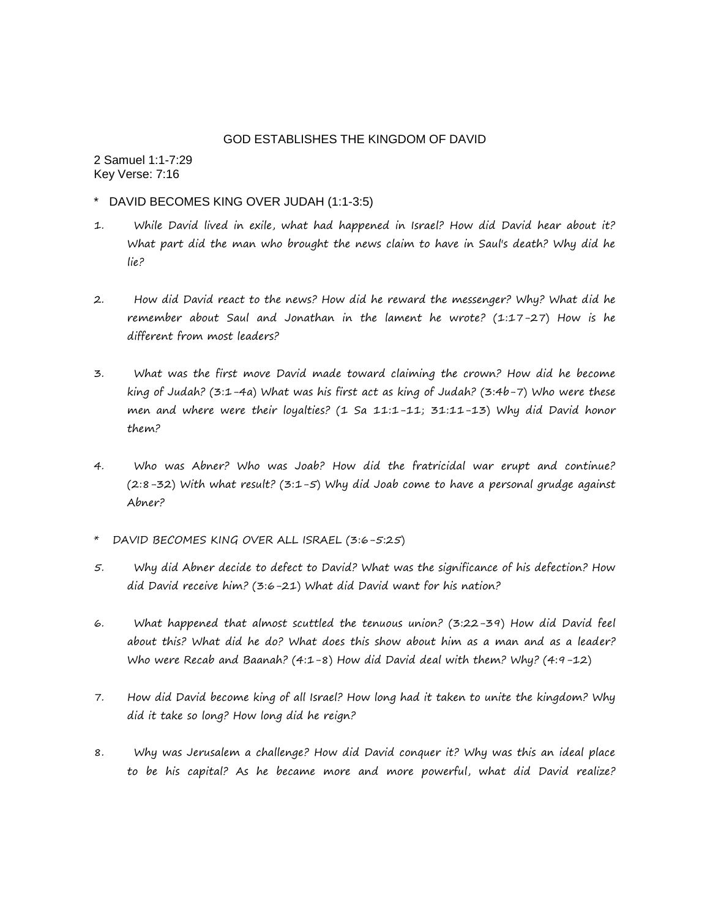## GOD ESTABLISHES THE KINGDOM OF DAVID

2 Samuel 1:1-7:29 Key Verse: 7:16

- \* DAVID BECOMES KING OVER JUDAH (1:1-3:5)
- 1. While David lived in exile, what had happened in Israel? How did David hear about it? What part did the man who brought the news claim to have in Saul's death? Why did he lie?
- 2. How did David react to the news? How did he reward the messenger? Why? What did he remember about Saul and Jonathan in the lament he wrote? (1:17-27) How is he different from most leaders?
- 3. What was the first move David made toward claiming the crown? How did he become king of Judah? (3:1-4a) What was his first act as king of Judah? (3:4b-7) Who were these men and where were their loyalties? (1 Sa 11:1-11; 31:11-13) Why did David honor them?
- 4. Who was Abner? Who was Joab? How did the fratricidal war erupt and continue? (2:8-32) With what result? (3:1-5) Why did Joab come to have a personal grudge against Abner?
- \* DAVID BECOMES KING OVER ALL ISRAEL (3:6-5:25)
- 5. Why did Abner decide to defect to David? What was the significance of his defection? How did David receive him? (3:6-21) What did David want for his nation?
- 6. What happened that almost scuttled the tenuous union? (3:22-39) How did David feel about this? What did he do? What does this show about him as a man and as a leader? Who were Recab and Baanah? (4:1-8) How did David deal with them? Why? (4:9-12)
- 7. How did David become king of all Israel? How long had it taken to unite the kingdom? Why did it take so long? How long did he reign?
- 8. Why was Jerusalem a challenge? How did David conquer it? Why was this an ideal place to be his capital? As he became more and more powerful, what did David realize?